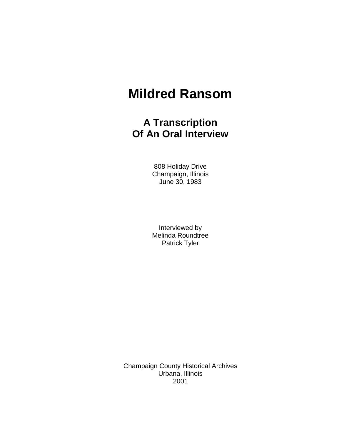## **Mildred Ransom**

## **A Transcription Of An Oral Interview**

808 Holiday Drive Champaign, Illinois June 30, 1983

Interviewed by Melinda Roundtree Patrick Tyler

Champaign County Historical Archives Urbana, Illinois 2001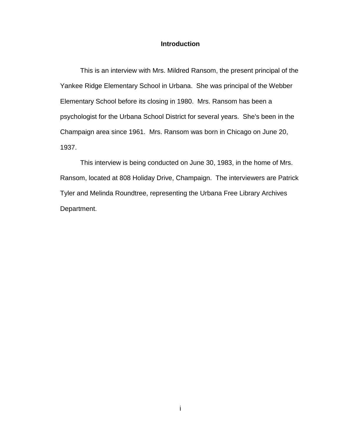## **Introduction**

This is an interview with Mrs. Mildred Ransom, the present principal of the Yankee Ridge Elementary School in Urbana. She was principal of the Webber Elementary School before its closing in 1980. Mrs. Ransom has been a psychologist for the Urbana School District for several years. She's been in the Champaign area since 1961. Mrs. Ransom was born in Chicago on June 20, 1937.

This interview is being conducted on June 30, 1983, in the home of Mrs. Ransom, located at 808 Holiday Drive, Champaign. The interviewers are Patrick Tyler and Melinda Roundtree, representing the Urbana Free Library Archives Department.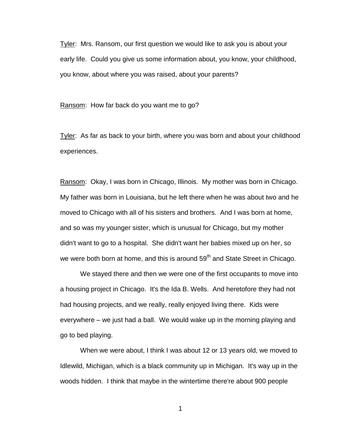Tyler: Mrs. Ransom, our first question we would like to ask you is about your early life. Could you give us some information about, you know, your childhood, you know, about where you was raised, about your parents?

Ransom: How far back do you want me to go?

Tyler: As far as back to your birth, where you was born and about your childhood experiences.

Ransom: Okay, I was born in Chicago, Illinois. My mother was born in Chicago. My father was born in Louisiana, but he left there when he was about two and he moved to Chicago with all of his sisters and brothers. And I was born at home, and so was my younger sister, which is unusual for Chicago, but my mother didn't want to go to a hospital. She didn't want her babies mixed up on her, so we were both born at home, and this is around  $59<sup>th</sup>$  and State Street in Chicago.

We stayed there and then we were one of the first occupants to move into a housing project in Chicago. It's the Ida B. Wells. And heretofore they had not had housing projects, and we really, really enjoyed living there. Kids were everywhere – we just had a ball. We would wake up in the morning playing and go to bed playing.

When we were about, I think I was about 12 or 13 years old, we moved to Idlewild, Michigan, which is a black community up in Michigan. It's way up in the woods hidden. I think that maybe in the wintertime there're about 900 people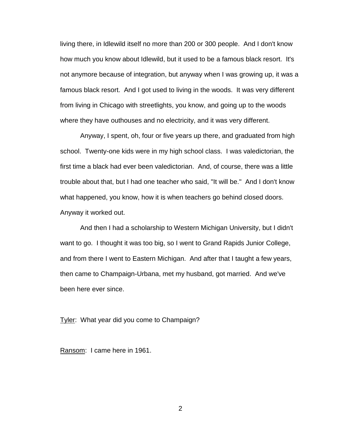living there, in Idlewild itself no more than 200 or 300 people. And I don't know how much you know about Idlewild, but it used to be a famous black resort. It's not anymore because of integration, but anyway when I was growing up, it was a famous black resort. And I got used to living in the woods. It was very different from living in Chicago with streetlights, you know, and going up to the woods where they have outhouses and no electricity, and it was very different.

Anyway, I spent, oh, four or five years up there, and graduated from high school. Twenty-one kids were in my high school class. I was valedictorian, the first time a black had ever been valedictorian. And, of course, there was a little trouble about that, but I had one teacher who said, "It will be." And I don't know what happened, you know, how it is when teachers go behind closed doors. Anyway it worked out.

And then I had a scholarship to Western Michigan University, but I didn't want to go. I thought it was too big, so I went to Grand Rapids Junior College, and from there I went to Eastern Michigan. And after that I taught a few years, then came to Champaign-Urbana, met my husband, got married. And we've been here ever since.

Tyler: What year did you come to Champaign?

Ransom: I came here in 1961.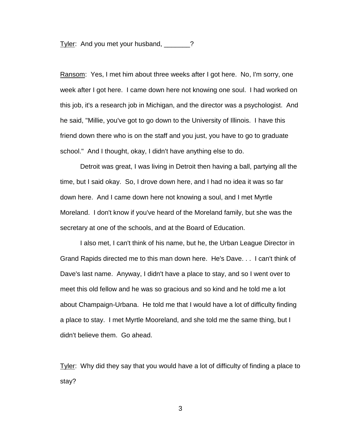Tyler: And you met your husband, \_\_\_\_\_\_?

Ransom: Yes, I met him about three weeks after I got here. No, I'm sorry, one week after I got here. I came down here not knowing one soul. I had worked on this job, it's a research job in Michigan, and the director was a psychologist. And he said, "Millie, you've got to go down to the University of Illinois. I have this friend down there who is on the staff and you just, you have to go to graduate school." And I thought, okay, I didn't have anything else to do.

Detroit was great, I was living in Detroit then having a ball, partying all the time, but I said okay. So, I drove down here, and I had no idea it was so far down here. And I came down here not knowing a soul, and I met Myrtle Moreland. I don't know if you've heard of the Moreland family, but she was the secretary at one of the schools, and at the Board of Education.

I also met, I can't think of his name, but he, the Urban League Director in Grand Rapids directed me to this man down here. He's Dave. . . I can't think of Dave's last name. Anyway, I didn't have a place to stay, and so I went over to meet this old fellow and he was so gracious and so kind and he told me a lot about Champaign-Urbana. He told me that I would have a lot of difficulty finding a place to stay. I met Myrtle Mooreland, and she told me the same thing, but I didn't believe them. Go ahead.

Tyler: Why did they say that you would have a lot of difficulty of finding a place to stay?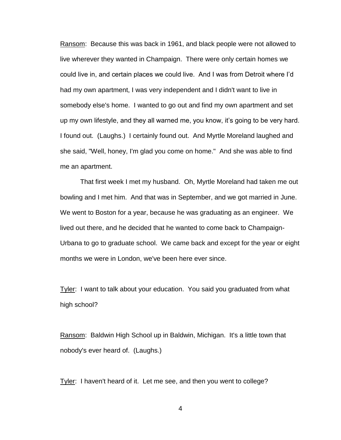Ransom: Because this was back in 1961, and black people were not allowed to live wherever they wanted in Champaign. There were only certain homes we could live in, and certain places we could live. And I was from Detroit where I"d had my own apartment, I was very independent and I didn't want to live in somebody else's home. I wanted to go out and find my own apartment and set up my own lifestyle, and they all warned me, you know, it"s going to be very hard. I found out. (Laughs.) I certainly found out. And Myrtle Moreland laughed and she said, "Well, honey, I'm glad you come on home." And she was able to find me an apartment.

That first week I met my husband. Oh, Myrtle Moreland had taken me out bowling and I met him. And that was in September, and we got married in June. We went to Boston for a year, because he was graduating as an engineer. We lived out there, and he decided that he wanted to come back to Champaign-Urbana to go to graduate school. We came back and except for the year or eight months we were in London, we've been here ever since.

Tyler: I want to talk about your education. You said you graduated from what high school?

Ransom: Baldwin High School up in Baldwin, Michigan. It's a little town that nobody's ever heard of. (Laughs.)

Tyler: I haven't heard of it. Let me see, and then you went to college?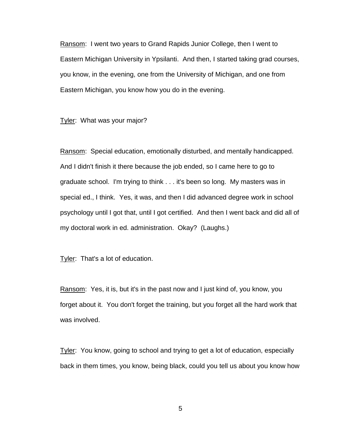Ransom: I went two years to Grand Rapids Junior College, then I went to Eastern Michigan University in Ypsilanti. And then, I started taking grad courses, you know, in the evening, one from the University of Michigan, and one from Eastern Michigan, you know how you do in the evening.

Tyler: What was your major?

Ransom: Special education, emotionally disturbed, and mentally handicapped. And I didn't finish it there because the job ended, so I came here to go to graduate school. I'm trying to think . . . it's been so long. My masters was in special ed., I think. Yes, it was, and then I did advanced degree work in school psychology until I got that, until I got certified. And then I went back and did all of my doctoral work in ed. administration. Okay? (Laughs.)

Tyler: That's a lot of education.

Ransom: Yes, it is, but it's in the past now and I just kind of, you know, you forget about it. You don't forget the training, but you forget all the hard work that was involved.

Tyler: You know, going to school and trying to get a lot of education, especially back in them times, you know, being black, could you tell us about you know how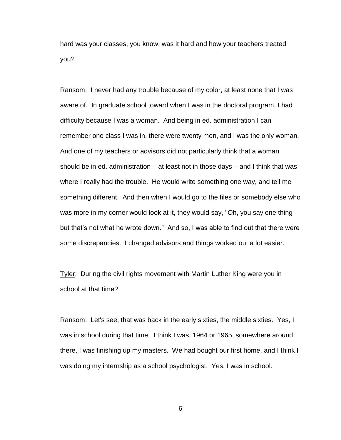hard was your classes, you know, was it hard and how your teachers treated you?

Ransom: I never had any trouble because of my color, at least none that I was aware of. In graduate school toward when I was in the doctoral program, I had difficulty because I was a woman. And being in ed. administration I can remember one class I was in, there were twenty men, and I was the only woman. And one of my teachers or advisors did not particularly think that a woman should be in ed. administration – at least not in those days – and I think that was where I really had the trouble. He would write something one way, and tell me something different. And then when I would go to the files or somebody else who was more in my corner would look at it, they would say, "Oh, you say one thing but that"s not what he wrote down." And so, I was able to find out that there were some discrepancies. I changed advisors and things worked out a lot easier.

**Tyler:** During the civil rights movement with Martin Luther King were you in school at that time?

Ransom: Let's see, that was back in the early sixties, the middle sixties. Yes, I was in school during that time. I think I was, 1964 or 1965, somewhere around there, I was finishing up my masters. We had bought our first home, and I think I was doing my internship as a school psychologist. Yes, I was in school.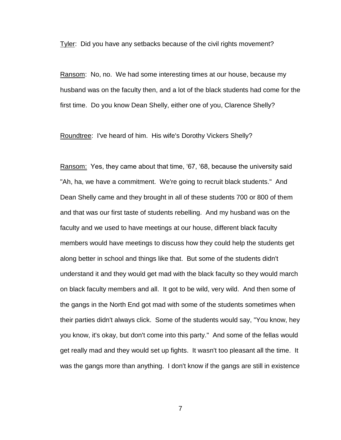Tyler: Did you have any setbacks because of the civil rights movement?

Ransom: No, no. We had some interesting times at our house, because my husband was on the faculty then, and a lot of the black students had come for the first time. Do you know Dean Shelly, either one of you, Clarence Shelly?

Roundtree: I've heard of him. His wife's Dorothy Vickers Shelly?

Ransom: Yes, they came about that time, "67, "68, because the university said "Ah, ha, we have a commitment. We're going to recruit black students." And Dean Shelly came and they brought in all of these students 700 or 800 of them and that was our first taste of students rebelling. And my husband was on the faculty and we used to have meetings at our house, different black faculty members would have meetings to discuss how they could help the students get along better in school and things like that. But some of the students didn't understand it and they would get mad with the black faculty so they would march on black faculty members and all. It got to be wild, very wild. And then some of the gangs in the North End got mad with some of the students sometimes when their parties didn't always click. Some of the students would say, "You know, hey you know, it's okay, but don't come into this party." And some of the fellas would get really mad and they would set up fights. It wasn't too pleasant all the time. It was the gangs more than anything. I don't know if the gangs are still in existence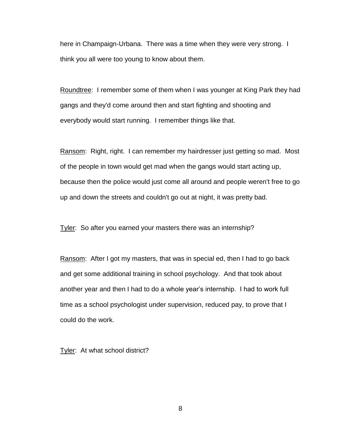here in Champaign-Urbana. There was a time when they were very strong. I think you all were too young to know about them.

Roundtree: I remember some of them when I was younger at King Park they had gangs and they'd come around then and start fighting and shooting and everybody would start running. I remember things like that.

Ransom: Right, right. I can remember my hairdresser just getting so mad. Most of the people in town would get mad when the gangs would start acting up, because then the police would just come all around and people weren't free to go up and down the streets and couldn't go out at night, it was pretty bad.

Tyler: So after you earned your masters there was an internship?

Ransom: After I got my masters, that was in special ed, then I had to go back and get some additional training in school psychology. And that took about another year and then I had to do a whole year"s internship. I had to work full time as a school psychologist under supervision, reduced pay, to prove that I could do the work.

Tyler: At what school district?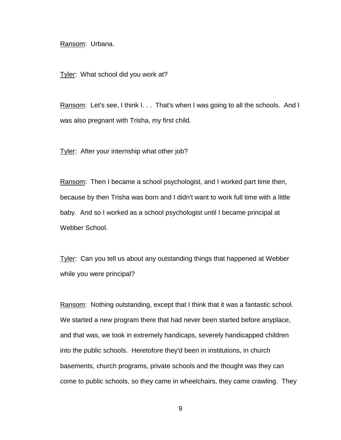Ransom: Urbana.

Tyler: What school did you work at?

Ransom: Let's see, I think I... That's when I was going to all the schools. And I was also pregnant with Trisha, my first child.

Tyler: After your internship what other job?

Ransom: Then I became a school psychologist, and I worked part time then, because by then Trisha was born and I didn't want to work full time with a little baby. And so I worked as a school psychologist until I became principal at Webber School.

Tyler: Can you tell us about any outstanding things that happened at Webber while you were principal?

Ransom: Nothing outstanding, except that I think that it was a fantastic school. We started a new program there that had never been started before anyplace, and that was, we took in extremely handicaps, severely handicapped children into the public schools. Heretofore they'd been in institutions, in church basements, church programs, private schools and the thought was they can come to public schools, so they came in wheelchairs, they came crawling. They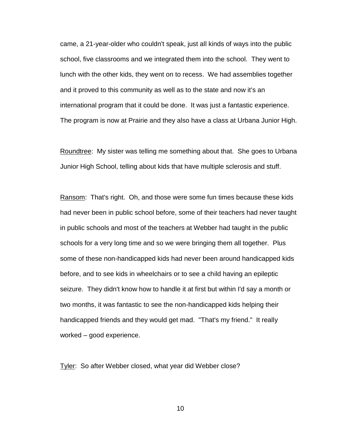came, a 21-year-older who couldn't speak, just all kinds of ways into the public school, five classrooms and we integrated them into the school. They went to lunch with the other kids, they went on to recess. We had assemblies together and it proved to this community as well as to the state and now it's an international program that it could be done. It was just a fantastic experience. The program is now at Prairie and they also have a class at Urbana Junior High.

Roundtree: My sister was telling me something about that. She goes to Urbana Junior High School, telling about kids that have multiple sclerosis and stuff.

Ransom: That's right. Oh, and those were some fun times because these kids had never been in public school before, some of their teachers had never taught in public schools and most of the teachers at Webber had taught in the public schools for a very long time and so we were bringing them all together. Plus some of these non-handicapped kids had never been around handicapped kids before, and to see kids in wheelchairs or to see a child having an epileptic seizure. They didn't know how to handle it at first but within I'd say a month or two months, it was fantastic to see the non-handicapped kids helping their handicapped friends and they would get mad. "That's my friend." It really worked – good experience.

Tyler: So after Webber closed, what year did Webber close?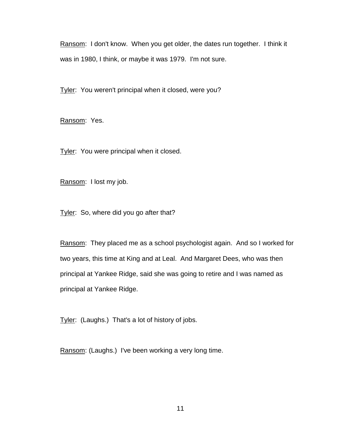Ransom: I don't know. When you get older, the dates run together. I think it was in 1980, I think, or maybe it was 1979. I'm not sure.

Tyler: You weren't principal when it closed, were you?

Ransom: Yes.

Tyler: You were principal when it closed.

Ransom: I lost my job.

Tyler: So, where did you go after that?

Ransom: They placed me as a school psychologist again. And so I worked for two years, this time at King and at Leal. And Margaret Dees, who was then principal at Yankee Ridge, said she was going to retire and I was named as principal at Yankee Ridge.

Tyler: (Laughs.) That's a lot of history of jobs.

Ransom: (Laughs.) I've been working a very long time.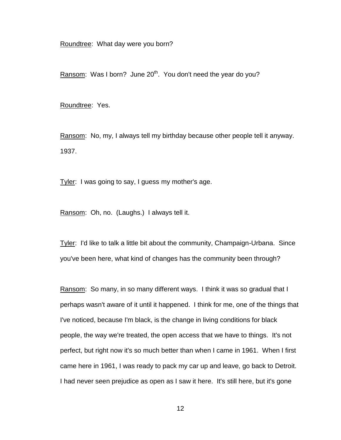Roundtree: What day were you born?

Ransom: Was I born? June  $20<sup>th</sup>$ . You don't need the year do you?

Roundtree: Yes.

Ransom: No, my, I always tell my birthday because other people tell it anyway. 1937.

Tyler: I was going to say, I guess my mother's age.

Ransom: Oh, no. (Laughs.) I always tell it.

Tyler: I'd like to talk a little bit about the community, Champaign-Urbana. Since you've been here, what kind of changes has the community been through?

Ransom: So many, in so many different ways. I think it was so gradual that I perhaps wasn't aware of it until it happened. I think for me, one of the things that I've noticed, because I'm black, is the change in living conditions for black people, the way we're treated, the open access that we have to things. It's not perfect, but right now it's so much better than when I came in 1961. When I first came here in 1961, I was ready to pack my car up and leave, go back to Detroit. I had never seen prejudice as open as I saw it here. It's still here, but it's gone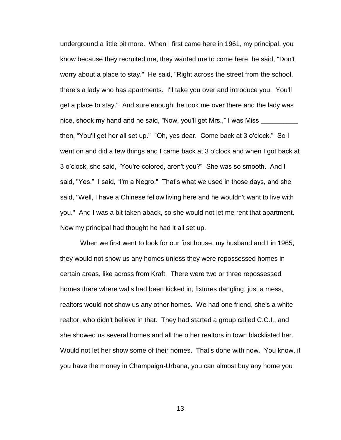underground a little bit more. When I first came here in 1961, my principal, you know because they recruited me, they wanted me to come here, he said, "Don't worry about a place to stay." He said, "Right across the street from the school, there's a lady who has apartments. I'll take you over and introduce you. You'll get a place to stay." And sure enough, he took me over there and the lady was nice, shook my hand and he said, "Now, you'll get Mrs.," I was Miss then, "You'll get her all set up." "Oh, yes dear. Come back at 3 o'clock." So I went on and did a few things and I came back at 3 o'clock and when I got back at 3 o"clock, she said, "You're colored, aren't you?" She was so smooth. And I said, "Yes." I said, "I'm a Negro." That's what we used in those days, and she said, "Well, I have a Chinese fellow living here and he wouldn't want to live with you." And I was a bit taken aback, so she would not let me rent that apartment. Now my principal had thought he had it all set up.

When we first went to look for our first house, my husband and I in 1965, they would not show us any homes unless they were repossessed homes in certain areas, like across from Kraft. There were two or three repossessed homes there where walls had been kicked in, fixtures dangling, just a mess, realtors would not show us any other homes. We had one friend, she's a white realtor, who didn't believe in that. They had started a group called C.C.I., and she showed us several homes and all the other realtors in town blacklisted her. Would not let her show some of their homes. That's done with now. You know, if you have the money in Champaign-Urbana, you can almost buy any home you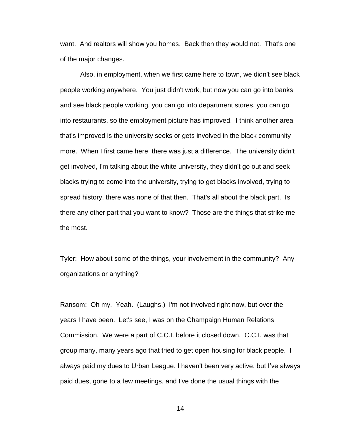want. And realtors will show you homes. Back then they would not. That's one of the major changes.

Also, in employment, when we first came here to town, we didn't see black people working anywhere. You just didn't work, but now you can go into banks and see black people working, you can go into department stores, you can go into restaurants, so the employment picture has improved. I think another area that's improved is the university seeks or gets involved in the black community more. When I first came here, there was just a difference. The university didn't get involved, I'm talking about the white university, they didn't go out and seek blacks trying to come into the university, trying to get blacks involved, trying to spread history, there was none of that then. That's all about the black part. Is there any other part that you want to know? Those are the things that strike me the most.

Tyler: How about some of the things, your involvement in the community? Any organizations or anything?

Ransom: Oh my. Yeah. (Laughs.) I'm not involved right now, but over the years I have been. Let's see, I was on the Champaign Human Relations Commission. We were a part of C.C.I. before it closed down. C.C.I. was that group many, many years ago that tried to get open housing for black people. I always paid my dues to Urban League. I haven't been very active, but I"ve always paid dues, gone to a few meetings, and I've done the usual things with the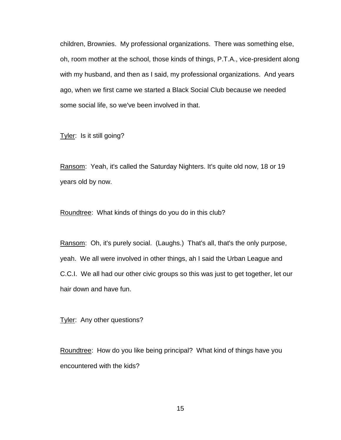children, Brownies. My professional organizations. There was something else, oh, room mother at the school, those kinds of things, P.T.A., vice-president along with my husband, and then as I said, my professional organizations. And years ago, when we first came we started a Black Social Club because we needed some social life, so we've been involved in that.

Tyler: Is it still going?

Ransom: Yeah, it's called the Saturday Nighters. It's quite old now, 18 or 19 years old by now.

Roundtree: What kinds of things do you do in this club?

Ransom: Oh, it's purely social. (Laughs.) That's all, that's the only purpose, yeah. We all were involved in other things, ah I said the Urban League and C.C.I. We all had our other civic groups so this was just to get together, let our hair down and have fun.

Tyler: Any other questions?

Roundtree: How do you like being principal? What kind of things have you encountered with the kids?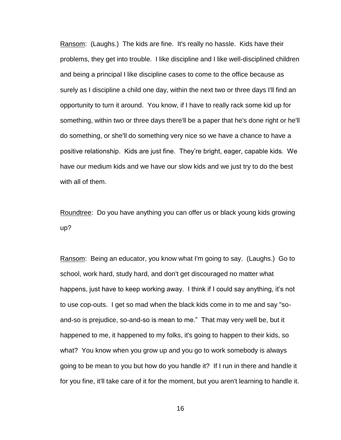Ransom: (Laughs.) The kids are fine. It's really no hassle. Kids have their problems, they get into trouble. I like discipline and I like well-disciplined children and being a principal I like discipline cases to come to the office because as surely as I discipline a child one day, within the next two or three days I'll find an opportunity to turn it around. You know, if I have to really rack some kid up for something, within two or three days there'll be a paper that he's done right or he'll do something, or she'll do something very nice so we have a chance to have a positive relationship. Kids are just fine. They"re bright, eager, capable kids. We have our medium kids and we have our slow kids and we just try to do the best with all of them.

Roundtree: Do you have anything you can offer us or black young kids growing up?

Ransom: Being an educator, you know what I'm going to say. (Laughs.) Go to school, work hard, study hard, and don't get discouraged no matter what happens, just have to keep working away. I think if I could say anything, it's not to use cop-outs. I get so mad when the black kids come in to me and say "soand-so is prejudice, so-and-so is mean to me." That may very well be, but it happened to me, it happened to my folks, it's going to happen to their kids, so what? You know when you grow up and you go to work somebody is always going to be mean to you but how do you handle it? If I run in there and handle it for you fine, it'll take care of it for the moment, but you aren't learning to handle it.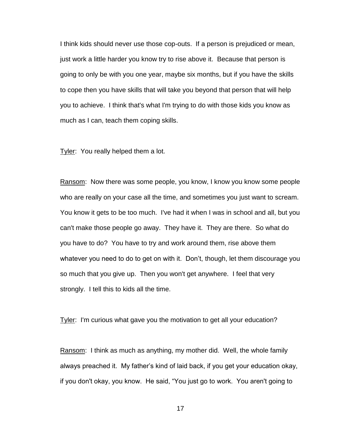I think kids should never use those cop-outs. If a person is prejudiced or mean, just work a little harder you know try to rise above it. Because that person is going to only be with you one year, maybe six months, but if you have the skills to cope then you have skills that will take you beyond that person that will help you to achieve. I think that's what I'm trying to do with those kids you know as much as I can, teach them coping skills.

Tyler: You really helped them a lot.

Ransom: Now there was some people, you know, I know you know some people who are really on your case all the time, and sometimes you just want to scream. You know it gets to be too much. I've had it when I was in school and all, but you can't make those people go away. They have it. They are there. So what do you have to do? You have to try and work around them, rise above them whatever you need to do to get on with it. Don't, though, let them discourage you so much that you give up. Then you won't get anywhere. I feel that very strongly. I tell this to kids all the time.

Tyler: I'm curious what gave you the motivation to get all your education?

Ransom: I think as much as anything, my mother did. Well, the whole family always preached it. My father"s kind of laid back, if you get your education okay, if you don't okay, you know. He said, "You just go to work. You aren't going to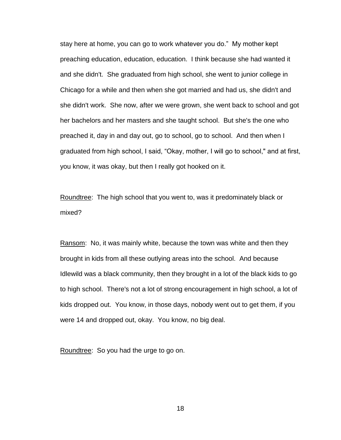stay here at home, you can go to work whatever you do." My mother kept preaching education, education, education. I think because she had wanted it and she didn't. She graduated from high school, she went to junior college in Chicago for a while and then when she got married and had us, she didn't and she didn't work. She now, after we were grown, she went back to school and got her bachelors and her masters and she taught school. But she's the one who preached it, day in and day out, go to school, go to school. And then when I graduated from high school, I said, "Okay, mother, I will go to school," and at first, you know, it was okay, but then I really got hooked on it.

Roundtree: The high school that you went to, was it predominately black or mixed?

Ransom: No, it was mainly white, because the town was white and then they brought in kids from all these outlying areas into the school. And because Idlewild was a black community, then they brought in a lot of the black kids to go to high school. There's not a lot of strong encouragement in high school, a lot of kids dropped out. You know, in those days, nobody went out to get them, if you were 14 and dropped out, okay. You know, no big deal.

Roundtree: So you had the urge to go on.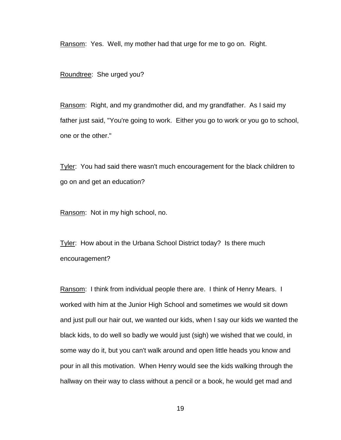Ransom: Yes. Well, my mother had that urge for me to go on. Right.

Roundtree: She urged you?

Ransom: Right, and my grandmother did, and my grandfather. As I said my father just said, "You're going to work. Either you go to work or you go to school, one or the other."

Tyler: You had said there wasn't much encouragement for the black children to go on and get an education?

Ransom: Not in my high school, no.

Tyler: How about in the Urbana School District today? Is there much encouragement?

Ransom: I think from individual people there are. I think of Henry Mears. I worked with him at the Junior High School and sometimes we would sit down and just pull our hair out, we wanted our kids, when I say our kids we wanted the black kids, to do well so badly we would just (sigh) we wished that we could, in some way do it, but you can't walk around and open little heads you know and pour in all this motivation. When Henry would see the kids walking through the hallway on their way to class without a pencil or a book, he would get mad and